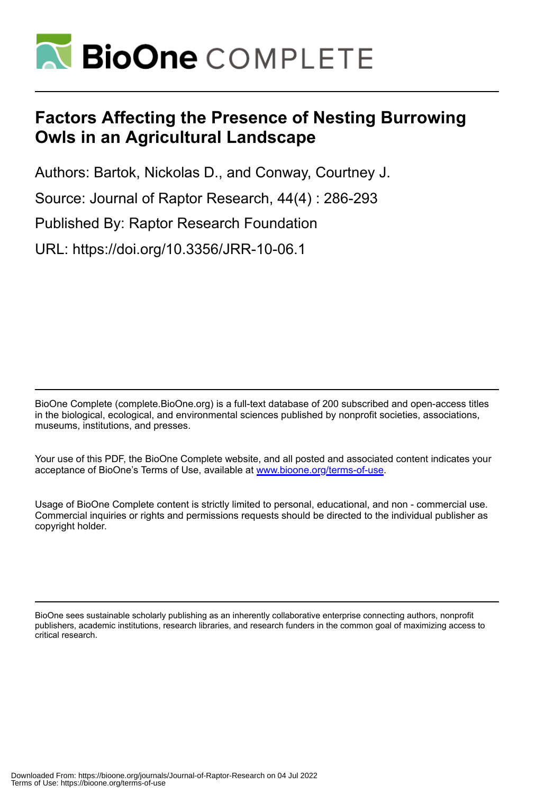

# **Factors Affecting the Presence of Nesting Burrowing Owls in an Agricultural Landscape**

Authors: Bartok, Nickolas D., and Conway, Courtney J.

Source: Journal of Raptor Research, 44(4) : 286-293

Published By: Raptor Research Foundation

URL: https://doi.org/10.3356/JRR-10-06.1

BioOne Complete (complete.BioOne.org) is a full-text database of 200 subscribed and open-access titles in the biological, ecological, and environmental sciences published by nonprofit societies, associations, museums, institutions, and presses.

Your use of this PDF, the BioOne Complete website, and all posted and associated content indicates your acceptance of BioOne's Terms of Use, available at www.bioone.org/terms-of-use.

Usage of BioOne Complete content is strictly limited to personal, educational, and non - commercial use. Commercial inquiries or rights and permissions requests should be directed to the individual publisher as copyright holder.

BioOne sees sustainable scholarly publishing as an inherently collaborative enterprise connecting authors, nonprofit publishers, academic institutions, research libraries, and research funders in the common goal of maximizing access to critical research.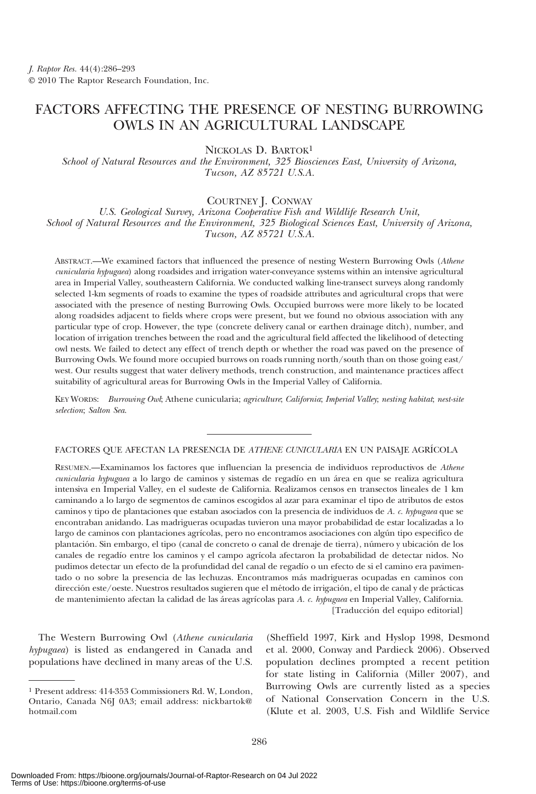# FACTORS AFFECTING THE PRESENCE OF NESTING BURROWING OWLS IN AN AGRICULTURAL LANDSCAPE

NICKOLAS D. BARTOK<sup>1</sup>

School of Natural Resources and the Environment, 325 Biosciences East, University of Arizona, Tucson, AZ 85721 U.S.A.

# COURTNEY J. CONWAY

U.S. Geological Survey, Arizona Cooperative Fish and Wildlife Research Unit, School of Natural Resources and the Environment, 325 Biological Sciences East, University of Arizona, Tucson, AZ 85721 U.S.A.

ABSTRACT.—We examined factors that influenced the presence of nesting Western Burrowing Owls (Athene cunicularia hypugaea) along roadsides and irrigation water-conveyance systems within an intensive agricultural area in Imperial Valley, southeastern California. We conducted walking line-transect surveys along randomly selected 1-km segments of roads to examine the types of roadside attributes and agricultural crops that were associated with the presence of nesting Burrowing Owls. Occupied burrows were more likely to be located along roadsides adjacent to fields where crops were present, but we found no obvious association with any particular type of crop. However, the type (concrete delivery canal or earthen drainage ditch), number, and location of irrigation trenches between the road and the agricultural field affected the likelihood of detecting owl nests. We failed to detect any effect of trench depth or whether the road was paved on the presence of Burrowing Owls. We found more occupied burrows on roads running north/south than on those going east/ west. Our results suggest that water delivery methods, trench construction, and maintenance practices affect suitability of agricultural areas for Burrowing Owls in the Imperial Valley of California.

KEY WORDS: Burrowing Owl; Athene cunicularia; agriculture; California; Imperial Valley; nesting habitat; nest-site selection; Salton Sea.

FACTORES QUE AFECTAN LA PRESENCIA DE ATHENE CUNICULARIA EN UN PAISAJE AGRÍCOLA

RESUMEN.—Examinamos los factores que influencian la presencia de individuos reproductivos de Athene cunicularia hypugaea a lo largo de caminos y sistemas de regadío en un área en que se realiza agricultura intensiva en Imperial Valley, en el sudeste de California. Realizamos censos en transectos lineales de 1 km caminando a lo largo de segmentos de caminos escogidos al azar para examinar el tipo de atributos de estos caminos y tipo de plantaciones que estaban asociados con la presencia de individuos de A. c. hypugaea que se encontraban anidando. Las madrigueras ocupadas tuvieron una mayor probabilidad de estar localizadas a lo largo de caminos con plantaciones agrícolas, pero no encontramos asociaciones con algún tipo especifico de plantación. Sin embargo, el tipo (canal de concreto o canal de drenaje de tierra), número y ubicación de los canales de regadı´o entre los caminos y el campo agrı´cola afectaron la probabilidad de detectar nidos. No pudimos detectar un efecto de la profundidad del canal de regadı´o o un efecto de si el camino era pavimentado o no sobre la presencia de las lechuzas. Encontramos más madrigueras ocupadas en caminos con dirección este/oeste. Nuestros resultados sugieren que el método de irrigación, el tipo de canal y de prácticas de mantenimiento afectan la calidad de las áreas agrícolas para A. c. hypugaea en Imperial Valley, California. [Traducción del equipo editorial]

The Western Burrowing Owl (Athene cunicularia hypugaea) is listed as endangered in Canada and populations have declined in many areas of the U.S.

(Sheffield 1997, Kirk and Hyslop 1998, Desmond et al. 2000, Conway and Pardieck 2006). Observed population declines prompted a recent petition for state listing in California (Miller 2007), and Burrowing Owls are currently listed as a species of National Conservation Concern in the U.S. (Klute et al. 2003, U.S. Fish and Wildlife Service

<sup>1</sup> Present address: 414-353 Commissioners Rd. W, London, Ontario, Canada N6J 0A3; email address: nickbartok@ hotmail.com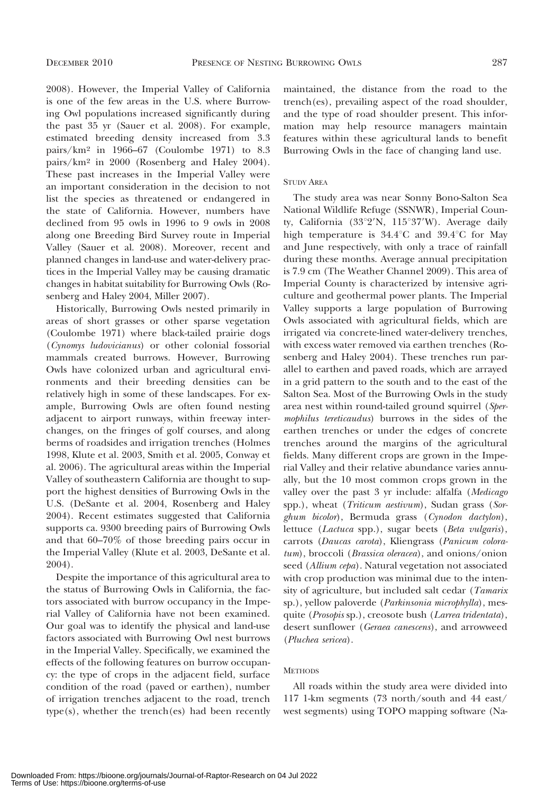2008). However, the Imperial Valley of California is one of the few areas in the U.S. where Burrowing Owl populations increased significantly during the past 35 yr (Sauer et al. 2008). For example, estimated breeding density increased from 3.3 pairs/km2 in 1966–67 (Coulombe 1971) to 8.3 pairs/km2 in 2000 (Rosenberg and Haley 2004). These past increases in the Imperial Valley were an important consideration in the decision to not list the species as threatened or endangered in the state of California. However, numbers have declined from 95 owls in 1996 to 9 owls in 2008 along one Breeding Bird Survey route in Imperial Valley (Sauer et al. 2008). Moreover, recent and planned changes in land-use and water-delivery practices in the Imperial Valley may be causing dramatic changes in habitat suitability for Burrowing Owls (Rosenberg and Haley 2004, Miller 2007).

Historically, Burrowing Owls nested primarily in areas of short grasses or other sparse vegetation (Coulombe 1971) where black-tailed prairie dogs (Cynomys ludovicianus) or other colonial fossorial mammals created burrows. However, Burrowing Owls have colonized urban and agricultural environments and their breeding densities can be relatively high in some of these landscapes. For example, Burrowing Owls are often found nesting adjacent to airport runways, within freeway interchanges, on the fringes of golf courses, and along berms of roadsides and irrigation trenches (Holmes 1998, Klute et al. 2003, Smith et al. 2005, Conway et al. 2006). The agricultural areas within the Imperial Valley of southeastern California are thought to support the highest densities of Burrowing Owls in the U.S. (DeSante et al. 2004, Rosenberg and Haley 2004). Recent estimates suggested that California supports ca. 9300 breeding pairs of Burrowing Owls and that 60–70% of those breeding pairs occur in the Imperial Valley (Klute et al. 2003, DeSante et al. 2004).

Despite the importance of this agricultural area to the status of Burrowing Owls in California, the factors associated with burrow occupancy in the Imperial Valley of California have not been examined. Our goal was to identify the physical and land-use factors associated with Burrowing Owl nest burrows in the Imperial Valley. Specifically, we examined the effects of the following features on burrow occupancy: the type of crops in the adjacent field, surface condition of the road (paved or earthen), number of irrigation trenches adjacent to the road, trench type(s), whether the trench(es) had been recently

maintained, the distance from the road to the trench(es), prevailing aspect of the road shoulder, and the type of road shoulder present. This information may help resource managers maintain features within these agricultural lands to benefit Burrowing Owls in the face of changing land use.

#### STUDY AREA

The study area was near Sonny Bono-Salton Sea National Wildlife Refuge (SSNWR), Imperial County, California (33°2'N, 115°37'W). Average daily high temperature is  $34.4^{\circ}$ C and  $39.4^{\circ}$ C for May and June respectively, with only a trace of rainfall during these months. Average annual precipitation is 7.9 cm (The Weather Channel 2009). This area of Imperial County is characterized by intensive agriculture and geothermal power plants. The Imperial Valley supports a large population of Burrowing Owls associated with agricultural fields, which are irrigated via concrete-lined water-delivery trenches, with excess water removed via earthen trenches (Rosenberg and Haley 2004). These trenches run parallel to earthen and paved roads, which are arrayed in a grid pattern to the south and to the east of the Salton Sea. Most of the Burrowing Owls in the study area nest within round-tailed ground squirrel (Spermophilus tereticaudus) burrows in the sides of the earthen trenches or under the edges of concrete trenches around the margins of the agricultural fields. Many different crops are grown in the Imperial Valley and their relative abundance varies annually, but the 10 most common crops grown in the valley over the past 3 yr include: alfalfa (Medicago spp.), wheat (Triticum aestivum), Sudan grass (Sorghum bicolor), Bermuda grass (Cynodon dactylon), lettuce (Lactuca spp.), sugar beets (Beta vulgaris), carrots (Daucas carota), Kliengrass (Panicum coloratum), broccoli (Brassica oleracea), and onions/onion seed (Allium cepa). Natural vegetation not associated with crop production was minimal due to the intensity of agriculture, but included salt cedar (Tamarix sp.), yellow paloverde (Parkinsonia microphylla), mesquite (Prosopis sp.), creosote bush (Larrea tridentata), desert sunflower (Geraea canescens), and arrowweed (Pluchea sericea).

# **METHODS**

All roads within the study area were divided into 117 1-km segments (73 north/south and 44 east/ west segments) using TOPO mapping software (Na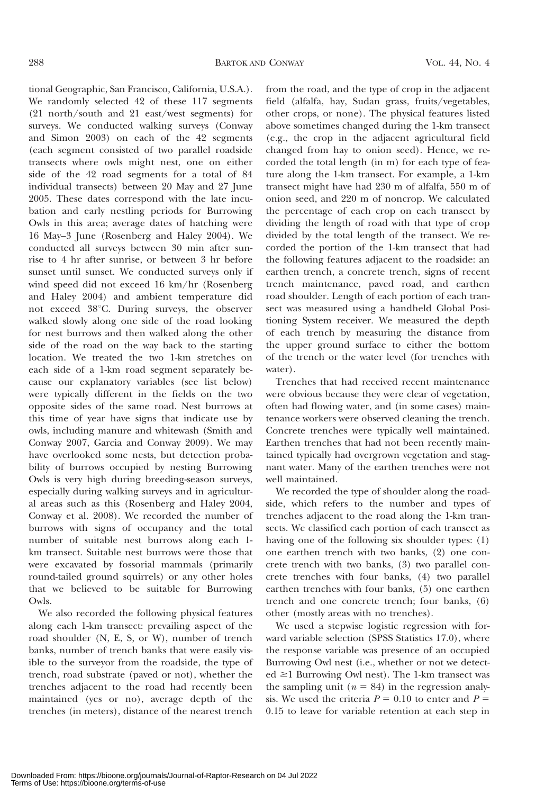tional Geographic, San Francisco, California, U.S.A.). We randomly selected 42 of these 117 segments (21 north/south and 21 east/west segments) for surveys. We conducted walking surveys (Conway and Simon 2003) on each of the 42 segments (each segment consisted of two parallel roadside transects where owls might nest, one on either side of the 42 road segments for a total of 84 individual transects) between 20 May and 27 June 2005. These dates correspond with the late incubation and early nestling periods for Burrowing Owls in this area; average dates of hatching were 16 May–3 June (Rosenberg and Haley 2004). We conducted all surveys between 30 min after sunrise to 4 hr after sunrise, or between 3 hr before sunset until sunset. We conducted surveys only if wind speed did not exceed 16 km/hr (Rosenberg and Haley 2004) and ambient temperature did not exceed 38°C. During surveys, the observer walked slowly along one side of the road looking for nest burrows and then walked along the other side of the road on the way back to the starting location. We treated the two 1-km stretches on each side of a 1-km road segment separately because our explanatory variables (see list below) were typically different in the fields on the two opposite sides of the same road. Nest burrows at this time of year have signs that indicate use by owls, including manure and whitewash (Smith and Conway 2007, Garcia and Conway 2009). We may have overlooked some nests, but detection probability of burrows occupied by nesting Burrowing Owls is very high during breeding-season surveys, especially during walking surveys and in agricultural areas such as this (Rosenberg and Haley 2004, Conway et al. 2008). We recorded the number of burrows with signs of occupancy and the total number of suitable nest burrows along each 1 km transect. Suitable nest burrows were those that were excavated by fossorial mammals (primarily round-tailed ground squirrels) or any other holes that we believed to be suitable for Burrowing Owls.

We also recorded the following physical features along each 1-km transect: prevailing aspect of the road shoulder (N, E, S, or W), number of trench banks, number of trench banks that were easily visible to the surveyor from the roadside, the type of trench, road substrate (paved or not), whether the trenches adjacent to the road had recently been maintained (yes or no), average depth of the trenches (in meters), distance of the nearest trench from the road, and the type of crop in the adjacent field (alfalfa, hay, Sudan grass, fruits/vegetables, other crops, or none). The physical features listed above sometimes changed during the 1-km transect (e.g., the crop in the adjacent agricultural field changed from hay to onion seed). Hence, we recorded the total length (in m) for each type of feature along the 1-km transect. For example, a 1-km transect might have had 230 m of alfalfa, 550 m of onion seed, and 220 m of noncrop. We calculated the percentage of each crop on each transect by dividing the length of road with that type of crop divided by the total length of the transect. We recorded the portion of the 1-km transect that had the following features adjacent to the roadside: an earthen trench, a concrete trench, signs of recent trench maintenance, paved road, and earthen road shoulder. Length of each portion of each transect was measured using a handheld Global Positioning System receiver. We measured the depth of each trench by measuring the distance from the upper ground surface to either the bottom of the trench or the water level (for trenches with water).

Trenches that had received recent maintenance were obvious because they were clear of vegetation, often had flowing water, and (in some cases) maintenance workers were observed cleaning the trench. Concrete trenches were typically well maintained. Earthen trenches that had not been recently maintained typically had overgrown vegetation and stagnant water. Many of the earthen trenches were not well maintained.

We recorded the type of shoulder along the roadside, which refers to the number and types of trenches adjacent to the road along the 1-km transects. We classified each portion of each transect as having one of the following six shoulder types: (1) one earthen trench with two banks, (2) one concrete trench with two banks, (3) two parallel concrete trenches with four banks, (4) two parallel earthen trenches with four banks, (5) one earthen trench and one concrete trench; four banks, (6) other (mostly areas with no trenches).

We used a stepwise logistic regression with forward variable selection (SPSS Statistics 17.0), where the response variable was presence of an occupied Burrowing Owl nest (i.e., whether or not we detect $ed \geq 1$  Burrowing Owl nest). The 1-km transect was the sampling unit ( $n = 84$ ) in the regression analysis. We used the criteria  $P = 0.10$  to enter and  $P =$ 0.15 to leave for variable retention at each step in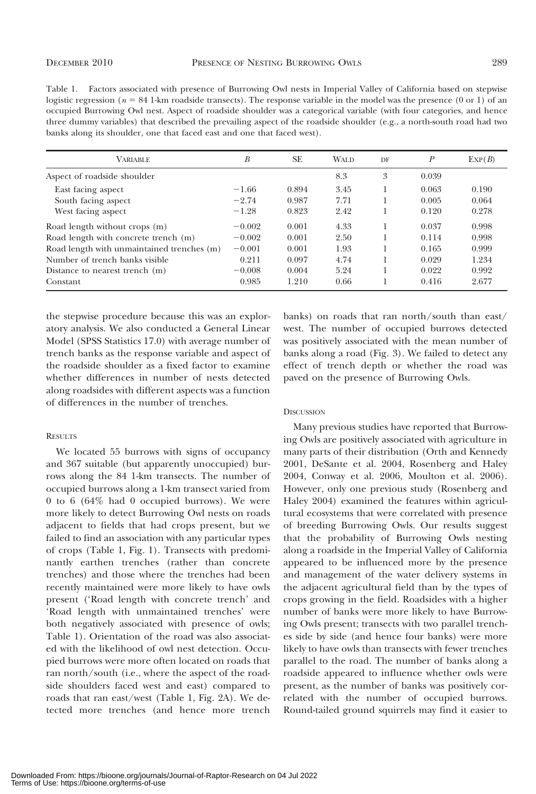| Table 1. Factors associated with presence of Burrowing Owl nests in Imperial Valley of California based on stepwise         |
|-----------------------------------------------------------------------------------------------------------------------------|
| logistic regression ( $n = 84$ 1-km roadside transects). The response variable in the model was the presence (0 or 1) of an |
| occupied Burrowing Owl nest. Aspect of roadside shoulder was a categorical variable (with four categories, and hence        |
| three dummy variables) that described the prevailing aspect of the roadside shoulder (e.g., a north-south road had two      |
| banks along its shoulder, one that faced east and one that faced west).                                                     |

| <b>VARIABLE</b>                            | В        | <b>SE</b> | <b>WALD</b> | DF | $\boldsymbol{P}$ | EXP(B) |
|--------------------------------------------|----------|-----------|-------------|----|------------------|--------|
| Aspect of roadside shoulder                |          |           | 8.3         | 3  | 0.039            |        |
| East facing aspect                         | $-1.66$  | 0.894     | 3.45        |    | 0.063            | 0.190  |
| South facing aspect                        | $-2.74$  | 0.987     | 7.71        |    | 0.005            | 0.064  |
| West facing aspect                         | $-1.28$  | 0.823     | 2.42        |    | 0.120            | 0.278  |
| Road length without crops (m)              | $-0.002$ | 0.001     | 4.33        |    | 0.037            | 0.998  |
| Road length with concrete trench (m)       | $-0.002$ | 0.001     | 2.50        |    | 0.114            | 0.998  |
| Road length with unmaintained trenches (m) | $-0.001$ | 0.001     | 1.93        |    | 0.165            | 0.999  |
| Number of trench banks visible             | 0.211    | 0.097     | 4.74        |    | 0.029            | 1.234  |
| Distance to nearest trench (m)             | $-0.008$ | 0.004     | 5.24        |    | 0.022            | 0.992  |
| Constant                                   | 0.985    | 1.210     | 0.66        |    | 0.416            | 2.677  |

the stepwise procedure because this was an exploratory analysis. We also conducted a General Linear Model (SPSS Statistics 17.0) with average number of trench banks as the response variable and aspect of the roadside shoulder as a fixed factor to examine whether differences in number of nests detected along roadsides with different aspects was a function of differences in the number of trenches.

### **RESULTS**

We located 55 burrows with signs of occupancy and 367 suitable (but apparently unoccupied) burrows along the 84 1-km transects. The number of occupied burrows along a 1-km transect varied from 0 to 6 (64% had 0 occupied burrows). We were more likely to detect Burrowing Owl nests on roads adjacent to fields that had crops present, but we failed to find an association with any particular types of crops (Table 1, Fig. 1). Transects with predominantly earthen trenches (rather than concrete trenches) and those where the trenches had been recently maintained were more likely to have owls present ('Road length with concrete trench' and 'Road length with unmaintained trenches' were both negatively associated with presence of owls; Table 1). Orientation of the road was also associated with the likelihood of owl nest detection. Occupied burrows were more often located on roads that ran north/south (i.e., where the aspect of the roadside shoulders faced west and east) compared to roads that ran east/west (Table 1, Fig. 2A). We detected more trenches (and hence more trench

banks) on roads that ran north/south than east/ west. The number of occupied burrows detected was positively associated with the mean number of banks along a road (Fig. 3). We failed to detect any effect of trench depth or whether the road was paved on the presence of Burrowing Owls.

# **DISCUSSION**

Many previous studies have reported that Burrowing Owls are positively associated with agriculture in many parts of their distribution (Orth and Kennedy 2001, DeSante et al. 2004, Rosenberg and Haley 2004, Conway et al. 2006, Moulton et al. 2006). However, only one previous study (Rosenberg and Haley 2004) examined the features within agricultural ecosystems that were correlated with presence of breeding Burrowing Owls. Our results suggest that the probability of Burrowing Owls nesting along a roadside in the Imperial Valley of California appeared to be influenced more by the presence and management of the water delivery systems in the adjacent agricultural field than by the types of crops growing in the field. Roadsides with a higher number of banks were more likely to have Burrowing Owls present; transects with two parallel trenches side by side (and hence four banks) were more likely to have owls than transects with fewer trenches parallel to the road. The number of banks along a roadside appeared to influence whether owls were present, as the number of banks was positively correlated with the number of occupied burrows. Round-tailed ground squirrels may find it easier to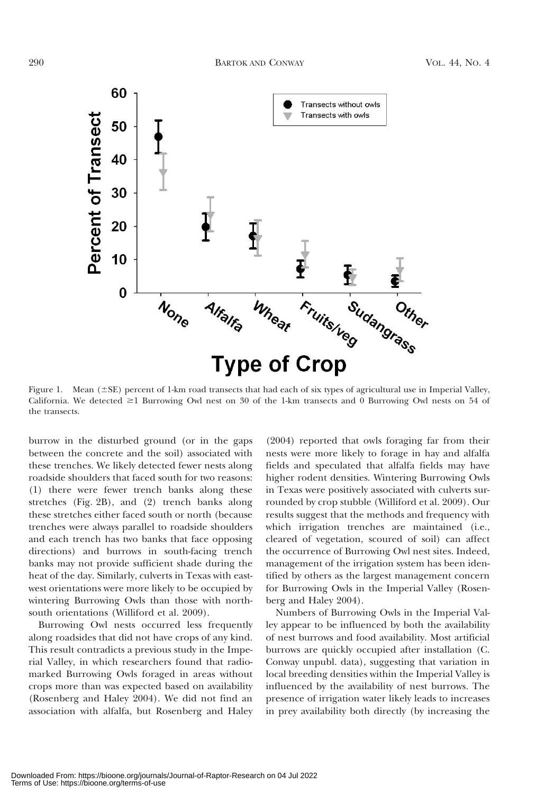

Figure 1. Mean  $(\pm SE)$  percent of 1-km road transects that had each of six types of agricultural use in Imperial Valley, California. We detected  $\geq 1$  Burrowing Owl nest on 30 of the 1-km transects and 0 Burrowing Owl nests on 54 of the transects.

burrow in the disturbed ground (or in the gaps between the concrete and the soil) associated with these trenches. We likely detected fewer nests along roadside shoulders that faced south for two reasons: (1) there were fewer trench banks along these stretches (Fig. 2B), and (2) trench banks along these stretches either faced south or north (because trenches were always parallel to roadside shoulders and each trench has two banks that face opposing directions) and burrows in south-facing trench banks may not provide sufficient shade during the heat of the day. Similarly, culverts in Texas with eastwest orientations were more likely to be occupied by wintering Burrowing Owls than those with northsouth orientations (Williford et al. 2009).

Burrowing Owl nests occurred less frequently along roadsides that did not have crops of any kind. This result contradicts a previous study in the Imperial Valley, in which researchers found that radiomarked Burrowing Owls foraged in areas without crops more than was expected based on availability (Rosenberg and Haley 2004). We did not find an association with alfalfa, but Rosenberg and Haley

(2004) reported that owls foraging far from their nests were more likely to forage in hay and alfalfa fields and speculated that alfalfa fields may have higher rodent densities. Wintering Burrowing Owls in Texas were positively associated with culverts surrounded by crop stubble (Williford et al. 2009). Our results suggest that the methods and frequency with which irrigation trenches are maintained (i.e., cleared of vegetation, scoured of soil) can affect the occurrence of Burrowing Owl nest sites. Indeed, management of the irrigation system has been identified by others as the largest management concern for Burrowing Owls in the Imperial Valley (Rosenberg and Haley 2004).

Numbers of Burrowing Owls in the Imperial Valley appear to be influenced by both the availability of nest burrows and food availability. Most artificial burrows are quickly occupied after installation (C. Conway unpubl. data), suggesting that variation in local breeding densities within the Imperial Valley is influenced by the availability of nest burrows. The presence of irrigation water likely leads to increases in prey availability both directly (by increasing the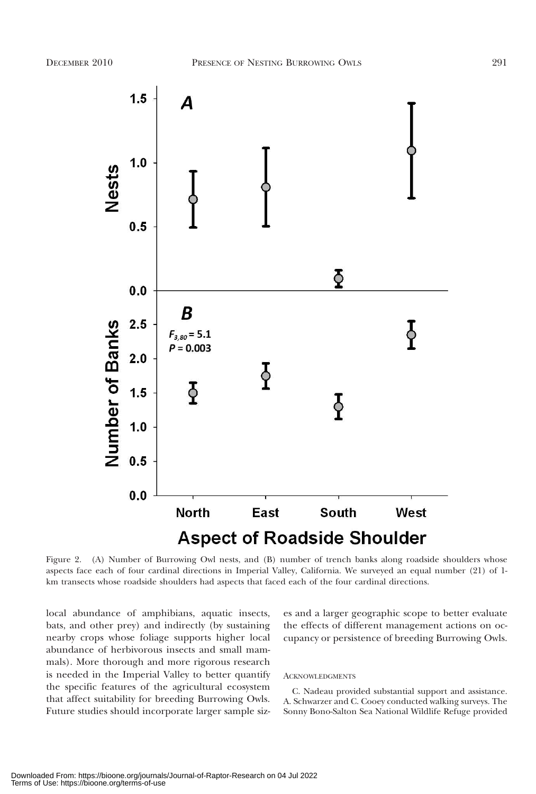

Figure 2. (A) Number of Burrowing Owl nests, and (B) number of trench banks along roadside shoulders whose aspects face each of four cardinal directions in Imperial Valley, California. We surveyed an equal number (21) of 1 km transects whose roadside shoulders had aspects that faced each of the four cardinal directions.

local abundance of amphibians, aquatic insects, bats, and other prey) and indirectly (by sustaining nearby crops whose foliage supports higher local abundance of herbivorous insects and small mammals). More thorough and more rigorous research is needed in the Imperial Valley to better quantify the specific features of the agricultural ecosystem that affect suitability for breeding Burrowing Owls. Future studies should incorporate larger sample sizes and a larger geographic scope to better evaluate the effects of different management actions on occupancy or persistence of breeding Burrowing Owls.

#### ACKNOWLEDGMENTS

C. Nadeau provided substantial support and assistance. A. Schwarzer and C. Cooey conducted walking surveys. The Sonny Bono-Salton Sea National Wildlife Refuge provided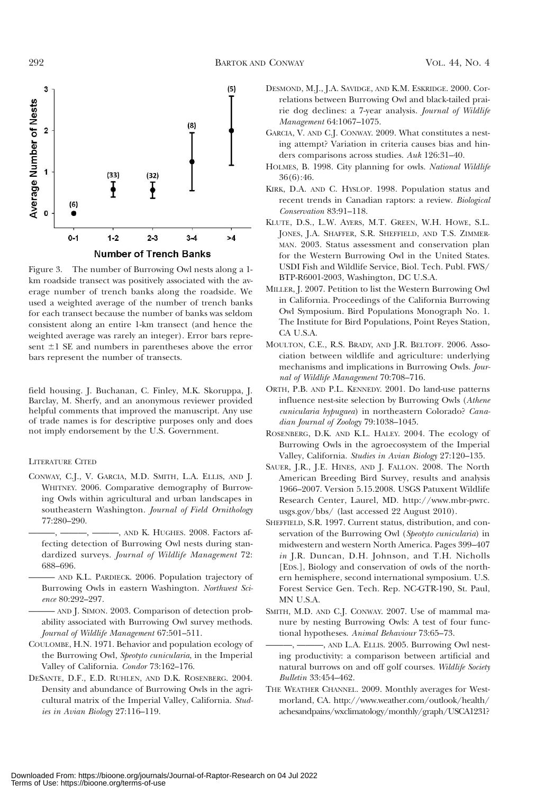

Figure 3. The number of Burrowing Owl nests along a 1 km roadside transect was positively associated with the average number of trench banks along the roadside. We used a weighted average of the number of trench banks for each transect because the number of banks was seldom consistent along an entire 1-km transect (and hence the weighted average was rarely an integer). Error bars represent  $\pm 1$  SE and numbers in parentheses above the error bars represent the number of transects.

field housing. J. Buchanan, C. Finley, M.K. Skoruppa, J. Barclay, M. Sherfy, and an anonymous reviewer provided helpful comments that improved the manuscript. Any use of trade names is for descriptive purposes only and does not imply endorsement by the U.S. Government.

#### LITERATURE CITED

- CONWAY, C.J., V. GARCIA, M.D. SMITH, L.A. ELLIS, AND J. WHITNEY. 2006. Comparative demography of Burrowing Owls within agricultural and urban landscapes in southeastern Washington. Journal of Field Ornithology 77:280–290.
	- ———, ———, ———, AND K. HUGHES. 2008. Factors affecting detection of Burrowing Owl nests during standardized surveys. Journal of Wildlife Management 72: 688–696.
	- ——— AND K.L. PARDIECK. 2006. Population trajectory of Burrowing Owls in eastern Washington. Northwest Science 80:292–297.

- AND J. SIMON. 2003. Comparison of detection probability associated with Burrowing Owl survey methods. Journal of Wildlife Management 67:501–511.

- COULOMBE, H.N. 1971. Behavior and population ecology of the Burrowing Owl, Speotyto cunicularia, in the Imperial Valley of California. Condor 73:162–176.
- DESANTE, D.F., E.D. RUHLEN, AND D.K. ROSENBERG. 2004. Density and abundance of Burrowing Owls in the agricultural matrix of the Imperial Valley, California. Studies in Avian Biology 27:116–119.
- DESMOND, M.J., J.A. SAVIDGE, AND K.M. ESKRIDGE. 2000. Correlations between Burrowing Owl and black-tailed prairie dog declines: a 7-year analysis. Journal of Wildlife Management 64:1067–1075.
- GARCIA, V. AND C.J. CONWAY. 2009. What constitutes a nesting attempt? Variation in criteria causes bias and hinders comparisons across studies. Auk 126:31–40.
- HOLMES, B. 1998. City planning for owls. National Wildlife 36(6):46.
- KIRK, D.A. AND C. HYSLOP. 1998. Population status and recent trends in Canadian raptors: a review. Biological Conservation 83:91–118.
- KLUTE, D.S., L.W. AYERS, M.T. GREEN, W.H. HOWE, S.L. JONES, J.A. SHAFFER, S.R. SHEFFIELD, AND T.S. ZIMMER-MAN. 2003. Status assessment and conservation plan for the Western Burrowing Owl in the United States. USDI Fish and Wildlife Service, Biol. Tech. Publ. FWS/ BTP-R6001-2003, Washington, DC U.S.A.
- MILLER, J. 2007. Petition to list the Western Burrowing Owl in California. Proceedings of the California Burrowing Owl Symposium. Bird Populations Monograph No. 1. The Institute for Bird Populations, Point Reyes Station, CA U.S.A.
- MOULTON, C.E., R.S. BRADY, AND J.R. BELTOFF. 2006. Association between wildlife and agriculture: underlying mechanisms and implications in Burrowing Owls. Journal of Wildlife Management 70:708–716.
- ORTH, P.B. AND P.L. KENNEDY. 2001. Do land-use patterns influence nest-site selection by Burrowing Owls (Athene cunicularia hypugaea) in northeastern Colorado? Canadian Journal of Zoology 79:1038–1045.
- ROSENBERG, D.K. AND K.L. HALEY. 2004. The ecology of Burrowing Owls in the agroecosystem of the Imperial Valley, California. Studies in Avian Biology 27:120–135.
- SAUER, J.R., J.E. HINES, AND J. FALLON. 2008. The North American Breeding Bird Survey, results and analysis 1966–2007. Version 5.15.2008. USGS Patuxent Wildlife Research Center, Laurel, MD. http://www.mbr-pwrc. usgs.gov/bbs/ (last accessed 22 August 2010).
- SHEFFIELD, S.R. 1997. Current status, distribution, and conservation of the Burrowing Owl (Speotyto cunicularia) in midwestern and western North America. Pages 399–407 in J.R. Duncan, D.H. Johnson, and T.H. Nicholls [EDS.], Biology and conservation of owls of the northern hemisphere, second international symposium. U.S. Forest Service Gen. Tech. Rep. NC-GTR-190, St. Paul, MN U.S.A.
- SMITH, M.D. AND C.J. CONWAY. 2007. Use of mammal manure by nesting Burrowing Owls: A test of four functional hypotheses. Animal Behaviour 73:65–73.
- ———, ———, AND L.A. ELLIS. 2005. Burrowing Owl nesting productivity: a comparison between artificial and natural burrows on and off golf courses. Wildlife Society Bulletin 33:454–462.
- THE WEATHER CHANNEL. 2009. Monthly averages for Westmorland, CA. http://www.weather.com/outlook/health/ achesandpains/wxclimatology/monthly/graph/USCA1231?